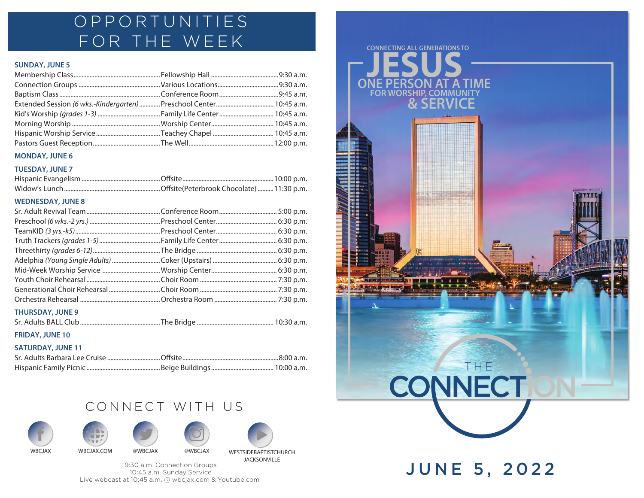# OPPORTUNITIES FOR THE WEEK

## **SUNDAY, JUNE 5**

| Extended Session (6 wks.-Kindergarten)  Preschool Center  10:45 a.m. |  |
|----------------------------------------------------------------------|--|
|                                                                      |  |
|                                                                      |  |
|                                                                      |  |
|                                                                      |  |

### **MONDAY, JUNE 6**

## **TUESDAY, JUNE 7**

## **WEDNESDAY, JUNE 8**

| <b>THURSDAY, JUNE 9</b> |  |
|-------------------------|--|

|--|--|

## **FRIDAY, JUNE 10**

## **SATURDAY, JUNE 11**

## CONNECT WITH US











9:30 a.m. Connection Groups 10:45 a.m. Sunday Service Live webcast at 10:45 a.m. @ wbcjax.com & Youtube.com